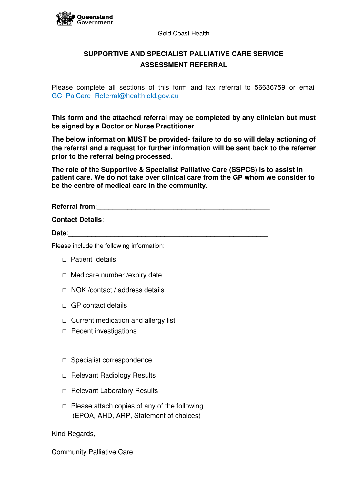

## **SUPPORTIVE AND SPECIALIST PALLIATIVE CARE SERVICE ASSESSMENT REFERRAL**

Please complete all sections of this form and fax referral to 56686759 or email GC\_PalCare\_Referral@health.qld.gov.au

**This form and the attached referral may be completed by any clinician but must be signed by a Doctor or Nurse Practitioner**

**The below information MUST be provided- failure to do so will delay actioning of the referral and a request for further information will be sent back to the referrer prior to the referral being processed**.

**The role of the Supportive & Specialist Palliative Care (SSPCS) is to assist in patient care. We do not take over clinical care from the GP whom we consider to be the centre of medical care in the community.** 

**Referral from**:\_\_\_\_\_\_\_\_\_\_\_\_\_\_\_\_\_\_\_\_\_\_\_\_\_\_\_\_\_\_\_\_\_\_\_\_\_\_\_\_\_\_\_\_\_

**Contact Details:** 

Date:

Please include the following information:

□ Patient details

Queensland Government

- □ Medicare number / expiry date
- □ NOK /contact / address details
- $\Box$  GP contact details
- $\Box$  Current medication and allergy list
- □ Recent investigations
- □ Specialist correspondence
- □ Relevant Radiology Results
- □ Relevant Laboratory Results
- $\Box$  Please attach copies of any of the following (EPOA, AHD, ARP, Statement of choices)

Kind Regards,

Community Palliative Care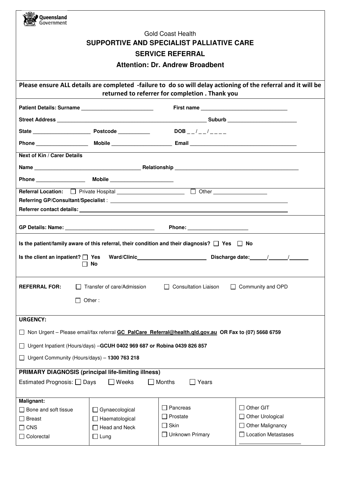| Queensland<br>Government                                                                                                                                                                                                                                                       |                      |                                                                                                         |                       |  |  |
|--------------------------------------------------------------------------------------------------------------------------------------------------------------------------------------------------------------------------------------------------------------------------------|----------------------|---------------------------------------------------------------------------------------------------------|-----------------------|--|--|
| <b>Gold Coast Health</b>                                                                                                                                                                                                                                                       |                      |                                                                                                         |                       |  |  |
| SUPPORTIVE AND SPECIALIST PALLIATIVE CARE                                                                                                                                                                                                                                      |                      |                                                                                                         |                       |  |  |
| <b>SERVICE REFERRAL</b>                                                                                                                                                                                                                                                        |                      |                                                                                                         |                       |  |  |
| <b>Attention: Dr. Andrew Broadbent</b>                                                                                                                                                                                                                                         |                      |                                                                                                         |                       |  |  |
|                                                                                                                                                                                                                                                                                |                      |                                                                                                         |                       |  |  |
| Please ensure ALL details are completed -failure to do so will delay actioning of the referral and it will be<br>returned to referrer for completion . Thank you                                                                                                               |                      |                                                                                                         |                       |  |  |
|                                                                                                                                                                                                                                                                                |                      |                                                                                                         |                       |  |  |
|                                                                                                                                                                                                                                                                                |                      |                                                                                                         |                       |  |  |
|                                                                                                                                                                                                                                                                                |                      | DOB _ _ / _ _ / _ _ _ _                                                                                 |                       |  |  |
|                                                                                                                                                                                                                                                                                |                      |                                                                                                         |                       |  |  |
| <b>Next of Kin / Carer Details</b>                                                                                                                                                                                                                                             |                      |                                                                                                         |                       |  |  |
|                                                                                                                                                                                                                                                                                |                      |                                                                                                         |                       |  |  |
|                                                                                                                                                                                                                                                                                |                      |                                                                                                         |                       |  |  |
|                                                                                                                                                                                                                                                                                |                      |                                                                                                         |                       |  |  |
|                                                                                                                                                                                                                                                                                |                      |                                                                                                         |                       |  |  |
|                                                                                                                                                                                                                                                                                |                      |                                                                                                         |                       |  |  |
|                                                                                                                                                                                                                                                                                |                      |                                                                                                         |                       |  |  |
|                                                                                                                                                                                                                                                                                |                      | Is the patient/family aware of this referral, their condition and their diagnosis? $\Box$ Yes $\Box$ No |                       |  |  |
| Ward/Clinic <b>Contract Contract Contract Contract Contract Contract Contract Contract Contract Contract Contract Contract Contract Contract Contract Contract Contract Contract Contract Contract Contract Contract Contract Co</b><br>Is the client an inpatient? $\Box$ Yes |                      |                                                                                                         |                       |  |  |
| No                                                                                                                                                                                                                                                                             |                      |                                                                                                         |                       |  |  |
|                                                                                                                                                                                                                                                                                |                      |                                                                                                         |                       |  |  |
| Transfer of care/Admission<br><b>Consultation Liaison</b><br>Community and OPD<br><b>REFERRAL FOR:</b><br>$\perp$                                                                                                                                                              |                      |                                                                                                         |                       |  |  |
| Other:                                                                                                                                                                                                                                                                         |                      |                                                                                                         |                       |  |  |
|                                                                                                                                                                                                                                                                                |                      |                                                                                                         |                       |  |  |
| <b>URGENCY:</b>                                                                                                                                                                                                                                                                |                      |                                                                                                         |                       |  |  |
| Non Urgent - Please email/fax referral GC PalCare Referral@health.gld.gov.au OR Fax to (07) 5668 6759                                                                                                                                                                          |                      |                                                                                                         |                       |  |  |
| Urgent Inpatient (Hours/days) -GCUH 0402 969 687 or Robina 0439 826 857                                                                                                                                                                                                        |                      |                                                                                                         |                       |  |  |
| Urgent Community (Hours/days) - 1300 763 218                                                                                                                                                                                                                                   |                      |                                                                                                         |                       |  |  |
| <b>PRIMARY DIAGNOSIS (principal life-limiting illness)</b>                                                                                                                                                                                                                     |                      |                                                                                                         |                       |  |  |
| Weeks<br>Estimated Prognosis: □ Days<br>Months<br>Years                                                                                                                                                                                                                        |                      |                                                                                                         |                       |  |  |
| Malignant:                                                                                                                                                                                                                                                                     |                      |                                                                                                         |                       |  |  |
| $\Box$ Bone and soft tissue                                                                                                                                                                                                                                                    | Gynaecological       | Pancreas                                                                                                | Other GIT             |  |  |
| <b>□</b> Breast                                                                                                                                                                                                                                                                | □ Haematological     | $\Box$ Prostate                                                                                         | Other Urological      |  |  |
| $\Box$ CNS                                                                                                                                                                                                                                                                     | $\Box$ Head and Neck | $\Box$ Skin                                                                                             | Other Malignancy      |  |  |
| $\Box$ Colorectal                                                                                                                                                                                                                                                              | $\sqcup$ Lung        | Unknown Primary                                                                                         | □ Location Metastases |  |  |